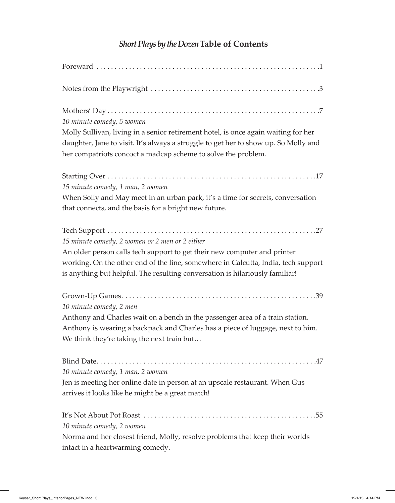## *Short Plays by the Dozen***Table of Contents**

| 10 minute comedy, 5 women                                                                                                                                                                                                                  |
|--------------------------------------------------------------------------------------------------------------------------------------------------------------------------------------------------------------------------------------------|
| Molly Sullivan, living in a senior retirement hotel, is once again waiting for her<br>daughter, Jane to visit. It's always a struggle to get her to show up. So Molly and<br>her compatriots concoct a madcap scheme to solve the problem. |
|                                                                                                                                                                                                                                            |
| 15 minute comedy, 1 man, 2 women                                                                                                                                                                                                           |
| When Solly and May meet in an urban park, it's a time for secrets, conversation                                                                                                                                                            |
| that connects, and the basis for a bright new future.                                                                                                                                                                                      |
|                                                                                                                                                                                                                                            |
| 15 minute comedy, 2 women or 2 men or 2 either                                                                                                                                                                                             |
| An older person calls tech support to get their new computer and printer                                                                                                                                                                   |
| working. On the other end of the line, somewhere in Calcutta, India, tech support<br>is anything but helpful. The resulting conversation is hilariously familiar!                                                                          |
|                                                                                                                                                                                                                                            |
| 10 minute comedy, 2 men                                                                                                                                                                                                                    |
| Anthony and Charles wait on a bench in the passenger area of a train station.                                                                                                                                                              |
| Anthony is wearing a backpack and Charles has a piece of luggage, next to him.                                                                                                                                                             |
| We think they're taking the next train but                                                                                                                                                                                                 |
|                                                                                                                                                                                                                                            |
| 10 minute comedy, 1 man, 2 women                                                                                                                                                                                                           |
| Jen is meeting her online date in person at an upscale restaurant. When Gus                                                                                                                                                                |
| arrives it looks like he might be a great match!                                                                                                                                                                                           |
|                                                                                                                                                                                                                                            |
| 10 minute comedy, 2 women                                                                                                                                                                                                                  |
| Norma and her closest friend, Molly, resolve problems that keep their worlds                                                                                                                                                               |
| intact in a heartwarming comedy.                                                                                                                                                                                                           |